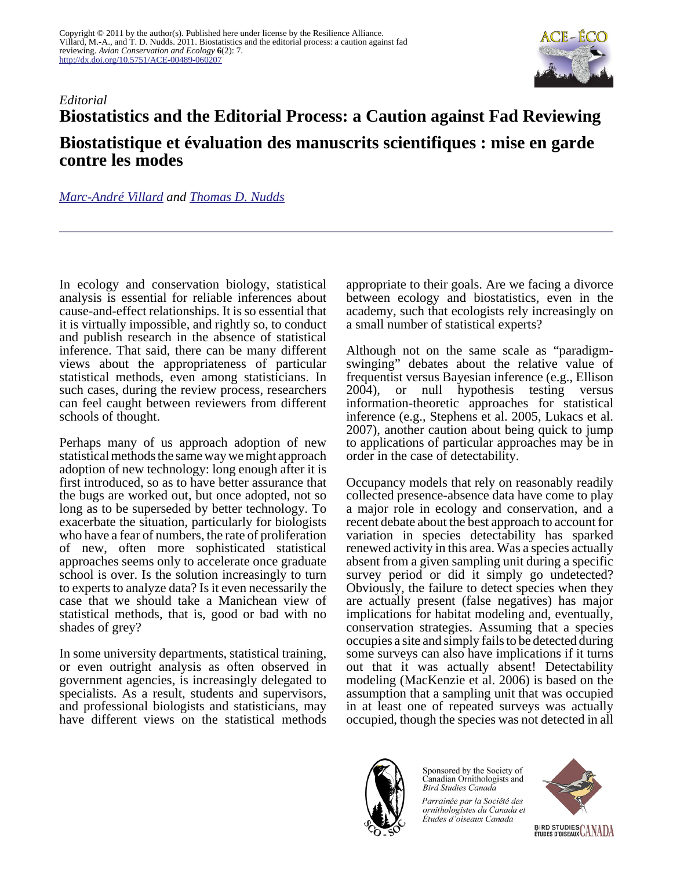

## *Editorial* **Biostatistics and the Editorial Process: a Caution against Fad Reviewing Biostatistique et évaluation des manuscrits scientifiques : mise en garde contre les modes**

*[Marc-André Villard](mailto:marc-andre.villard@umoncton.ca) and [Thomas D. Nudds](mailto:tnudds@uoguelph.ca)*

In ecology and conservation biology, statistical analysis is essential for reliable inferences about cause-and-effect relationships. It is so essential that it is virtually impossible, and rightly so, to conduct and publish research in the absence of statistical inference. That said, there can be many different views about the appropriateness of particular statistical methods, even among statisticians. In such cases, during the review process, researchers can feel caught between reviewers from different schools of thought.

Perhaps many of us approach adoption of new statistical methods the same way we might approach adoption of new technology: long enough after it is first introduced, so as to have better assurance that the bugs are worked out, but once adopted, not so long as to be superseded by better technology. To exacerbate the situation, particularly for biologists who have a fear of numbers, the rate of proliferation of new, often more sophisticated statistical approaches seems only to accelerate once graduate school is over. Is the solution increasingly to turn to experts to analyze data? Is it even necessarily the case that we should take a Manichean view of statistical methods, that is, good or bad with no shades of grey?

In some university departments, statistical training, or even outright analysis as often observed in government agencies, is increasingly delegated to specialists. As a result, students and supervisors, and professional biologists and statisticians, may have different views on the statistical methods appropriate to their goals. Are we facing a divorce between ecology and biostatistics, even in the academy, such that ecologists rely increasingly on a small number of statistical experts?

Although not on the same scale as "paradigmswinging" debates about the relative value of frequentist versus Bayesian inference (e.g., Ellison 2004), or null hypothesis testing versus information-theoretic approaches for statistical inference (e.g., Stephens et al. 2005, Lukacs et al. 2007), another caution about being quick to jump to applications of particular approaches may be in order in the case of detectability.

Occupancy models that rely on reasonably readily collected presence-absence data have come to play a major role in ecology and conservation, and a recent debate about the best approach to account for variation in species detectability has sparked renewed activity in this area. Was a species actually absent from a given sampling unit during a specific survey period or did it simply go undetected? Obviously, the failure to detect species when they are actually present (false negatives) has major implications for habitat modeling and, eventually, conservation strategies. Assuming that a species occupies a site and simply fails to be detected during some surveys can also have implications if it turns out that it was actually absent! Detectability modeling (MacKenzie et al. 2006) is based on the assumption that a sampling unit that was occupied in at least one of repeated surveys was actually occupied, though the species was not detected in all



Sponsored by the Society of Canadian Ornithologists and **Bird Studies Canada** 

Parrainée par la Société des ornithologistes du Canada et Études d'oiseaux Canada

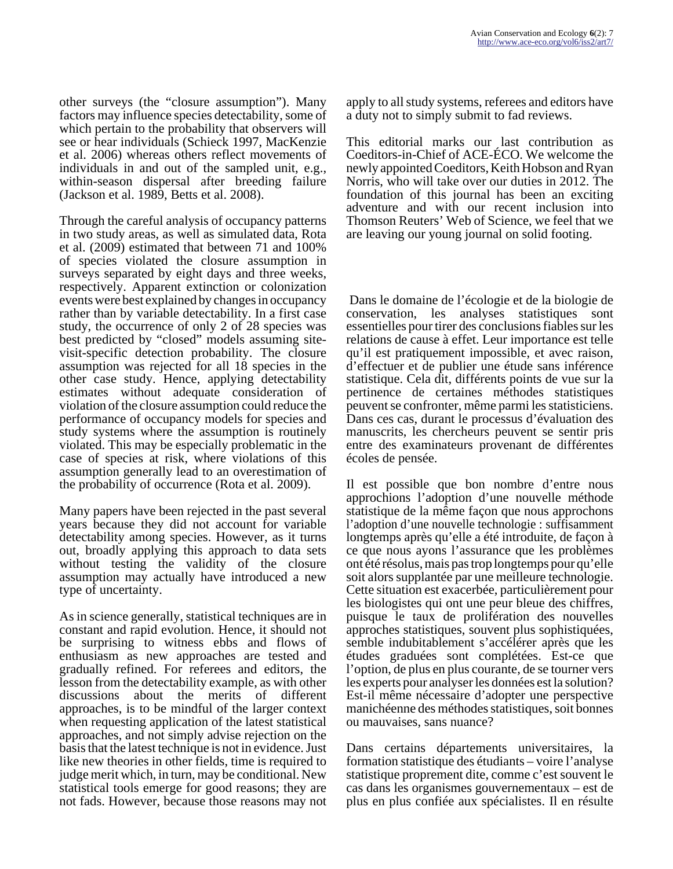other surveys (the "closure assumption"). Many factors may influence species detectability, some of which pertain to the probability that observers will see or hear individuals (Schieck 1997, MacKenzie et al. 2006) whereas others reflect movements of individuals in and out of the sampled unit, e.g., within-season dispersal after breeding failure (Jackson et al. 1989, Betts et al. 2008).

Through the careful analysis of occupancy patterns in two study areas, as well as simulated data, Rota et al. (2009) estimated that between 71 and 100% of species violated the closure assumption in surveys separated by eight days and three weeks, respectively. Apparent extinction or colonization events were best explained by changes in occupancy rather than by variable detectability. In a first case study, the occurrence of only 2 of 28 species was best predicted by "closed" models assuming sitevisit-specific detection probability. The closure assumption was rejected for all 18 species in the other case study. Hence, applying detectability estimates without adequate consideration of violation of the closure assumption could reduce the performance of occupancy models for species and study systems where the assumption is routinely violated. This may be especially problematic in the case of species at risk, where violations of this assumption generally lead to an overestimation of the probability of occurrence (Rota et al. 2009).

Many papers have been rejected in the past several years because they did not account for variable detectability among species. However, as it turns out, broadly applying this approach to data sets without testing the validity of the closure assumption may actually have introduced a new type of uncertainty.

As in science generally, statistical techniques are in constant and rapid evolution. Hence, it should not be surprising to witness ebbs and flows of enthusiasm as new approaches are tested and gradually refined. For referees and editors, the lesson from the detectability example, as with other discussions about the merits of different approaches, is to be mindful of the larger context when requesting application of the latest statistical approaches, and not simply advise rejection on the basis that the latest technique is not in evidence. Just like new theories in other fields, time is required to judge merit which, in turn, may be conditional. New statistical tools emerge for good reasons; they are not fads. However, because those reasons may not

apply to all study systems, referees and editors have a duty not to simply submit to fad reviews.

This editorial marks our last contribution as Coeditors-in-Chief of ACE-ÉCO. We welcome the newly appointed Coeditors, Keith Hobson and Ryan Norris, who will take over our duties in 2012. The foundation of this journal has been an exciting adventure and with our recent inclusion into Thomson Reuters' Web of Science, we feel that we are leaving our young journal on solid footing.

 Dans le domaine de l'écologie et de la biologie de conservation, les analyses statistiques sont essentielles pour tirer des conclusions fiables sur les relations de cause à effet. Leur importance est telle qu'il est pratiquement impossible, et avec raison, d'effectuer et de publier une étude sans inférence statistique. Cela dit, différents points de vue sur la pertinence de certaines méthodes statistiques peuvent se confronter, même parmi les statisticiens. Dans ces cas, durant le processus d'évaluation des manuscrits, les chercheurs peuvent se sentir pris entre des examinateurs provenant de différentes écoles de pensée.

Il est possible que bon nombre d'entre nous approchions l'adoption d'une nouvelle méthode statistique de la même façon que nous approchons l'adoption d'une nouvelle technologie : suffisamment longtemps après qu'elle a été introduite, de façon à ce que nous ayons l'assurance que les problèmes ont été résolus, mais pas trop longtemps pour qu'elle soit alors supplantée par une meilleure technologie. Cette situation est exacerbée, particulièrement pour les biologistes qui ont une peur bleue des chiffres, puisque le taux de prolifération des nouvelles approches statistiques, souvent plus sophistiquées, semble indubitablement s'accélérer après que les études graduées sont complétées. Est-ce que l'option, de plus en plus courante, de se tourner vers les experts pour analyser les données est la solution? Est-il même nécessaire d'adopter une perspective manichéenne des méthodes statistiques, soit bonnes ou mauvaises, sans nuance?

Dans certains départements universitaires, la formation statistique des étudiants – voire l'analyse statistique proprement dite, comme c'est souvent le cas dans les organismes gouvernementaux – est de plus en plus confiée aux spécialistes. Il en résulte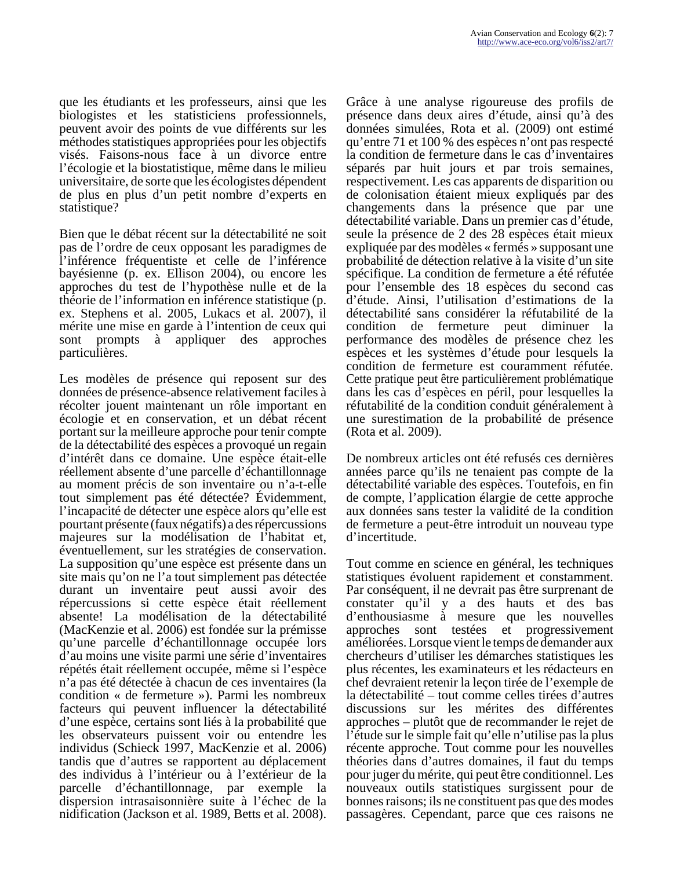que les étudiants et les professeurs, ainsi que les biologistes et les statisticiens professionnels, peuvent avoir des points de vue différents sur les méthodes statistiques appropriées pour les objectifs visés. Faisons-nous face à un divorce entre l'écologie et la biostatistique, même dans le milieu universitaire, de sorte que les écologistes dépendent de plus en plus d'un petit nombre d'experts en statistique?

Bien que le débat récent sur la détectabilité ne soit pas de l'ordre de ceux opposant les paradigmes de l'inférence fréquentiste et celle de l'inférence bayésienne (p. ex. Ellison 2004), ou encore les approches du test de l'hypothèse nulle et de la théorie de l'information en inférence statistique (p. ex. Stephens et al. 2005, Lukacs et al. 2007), il mérite une mise en garde à l'intention de ceux qui sont prompts à appliquer des approches particulières.

Les modèles de présence qui reposent sur des données de présence-absence relativement faciles à récolter jouent maintenant un rôle important en écologie et en conservation, et un débat récent portant sur la meilleure approche pour tenir compte de la détectabilité des espèces a provoqué un regain d'intérêt dans ce domaine. Une espèce était-elle réellement absente d'une parcelle d'échantillonnage au moment précis de son inventaire ou n'a-t-elle tout simplement pas été détectée? Évidemment, l'incapacité de détecter une espèce alors qu'elle est pourtant présente (faux négatifs) a des répercussions majeures sur la modélisation de l'habitat et, éventuellement, sur les stratégies de conservation. La supposition qu'une espèce est présente dans un site mais qu'on ne l'a tout simplement pas détectée durant un inventaire peut aussi avoir des répercussions si cette espèce était réellement absente! La modélisation de la détectabilité (MacKenzie et al. 2006) est fondée sur la prémisse qu'une parcelle d'échantillonnage occupée lors d'au moins une visite parmi une série d'inventaires répétés était réellement occupée, même si l'espèce n'a pas été détectée à chacun de ces inventaires (la condition « de fermeture »). Parmi les nombreux facteurs qui peuvent influencer la détectabilité d'une espèce, certains sont liés à la probabilité que les observateurs puissent voir ou entendre les individus (Schieck 1997, MacKenzie et al. 2006) tandis que d'autres se rapportent au déplacement des individus à l'intérieur ou à l'extérieur de la parcelle d'échantillonnage, par exemple la dispersion intrasaisonnière suite à l'échec de la nidification (Jackson et al. 1989, Betts et al. 2008).

Grâce à une analyse rigoureuse des profils de présence dans deux aires d'étude, ainsi qu'à des données simulées, Rota et al. (2009) ont estimé qu'entre 71 et 100 % des espèces n'ont pas respecté la condition de fermeture dans le cas d'inventaires séparés par huit jours et par trois semaines, respectivement. Les cas apparents de disparition ou de colonisation étaient mieux expliqués par des changements dans la présence que par une détectabilité variable. Dans un premier cas d'étude, seule la présence de 2 des 28 espèces était mieux expliquée par des modèles « fermés » supposant une probabilité de détection relative à la visite d'un site spécifique. La condition de fermeture a été réfutée pour l'ensemble des 18 espèces du second cas d'étude. Ainsi, l'utilisation d'estimations de la détectabilité sans considérer la réfutabilité de la condition de fermeture peut diminuer la performance des modèles de présence chez les espèces et les systèmes d'étude pour lesquels la condition de fermeture est couramment réfutée. Cette pratique peut être particulièrement problématique dans les cas d'espèces en péril, pour lesquelles la réfutabilité de la condition conduit généralement à une surestimation de la probabilité de présence (Rota et al. 2009).

De nombreux articles ont été refusés ces dernières années parce qu'ils ne tenaient pas compte de la détectabilité variable des espèces. Toutefois, en fin de compte, l'application élargie de cette approche aux données sans tester la validité de la condition de fermeture a peut-être introduit un nouveau type d'incertitude.

Tout comme en science en général, les techniques statistiques évoluent rapidement et constamment. Par conséquent, il ne devrait pas être surprenant de constater qu'il y a des hauts et des bas d'enthousiasme à mesure que les nouvelles approches sont testées et progressivement améliorées. Lorsque vient le temps de demander aux chercheurs d'utiliser les démarches statistiques les plus récentes, les examinateurs et les rédacteurs en chef devraient retenir la leçon tirée de l'exemple de la détectabilité – tout comme celles tirées d'autres discussions sur les mérites des différentes approches – plutôt que de recommander le rejet de l'étude sur le simple fait qu'elle n'utilise pas la plus récente approche. Tout comme pour les nouvelles théories dans d'autres domaines, il faut du temps pour juger du mérite, qui peut être conditionnel. Les nouveaux outils statistiques surgissent pour de bonnes raisons; ils ne constituent pas que des modes passagères. Cependant, parce que ces raisons ne